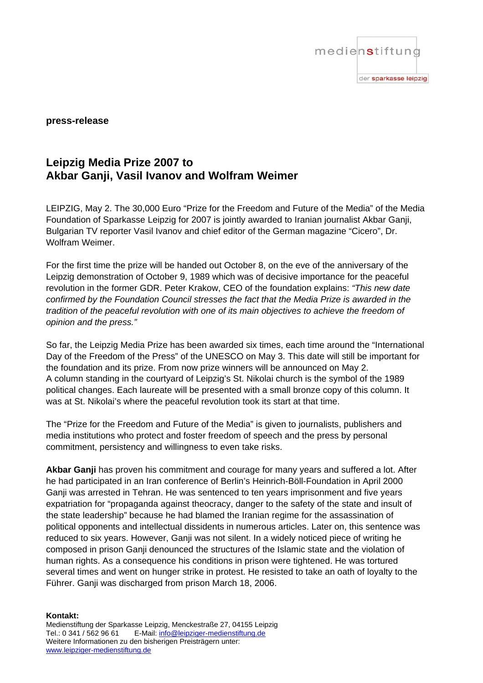

## **press-release**

## **Leipzig Media Prize 2007 to Akbar Ganji, Vasil Ivanov and Wolfram Weimer**

LEIPZIG, May 2. The 30,000 Euro "Prize for the Freedom and Future of the Media" of the Media Foundation of Sparkasse Leipzig for 2007 is jointly awarded to Iranian journalist Akbar Ganji, Bulgarian TV reporter Vasil Ivanov and chief editor of the German magazine "Cicero", Dr. Wolfram Weimer.

For the first time the prize will be handed out October 8, on the eve of the anniversary of the Leipzig demonstration of October 9, 1989 which was of decisive importance for the peaceful revolution in the former GDR. Peter Krakow, CEO of the foundation explains: *"This new date confirmed by the Foundation Council stresses the fact that the Media Prize is awarded in the tradition of the peaceful revolution with one of its main objectives to achieve the freedom of opinion and the press."*

So far, the Leipzig Media Prize has been awarded six times, each time around the "International Day of the Freedom of the Press" of the UNESCO on May 3. This date will still be important for the foundation and its prize. From now prize winners will be announced on May 2. A column standing in the courtyard of Leipzig's St. Nikolai church is the symbol of the 1989 political changes. Each laureate will be presented with a small bronze copy of this column. It was at St. Nikolai's where the peaceful revolution took its start at that time.

The "Prize for the Freedom and Future of the Media" is given to journalists, publishers and media institutions who protect and foster freedom of speech and the press by personal commitment, persistency and willingness to even take risks.

**Akbar Ganji** has proven his commitment and courage for many years and suffered a lot. After he had participated in an Iran conference of Berlin's Heinrich-Böll-Foundation in April 2000 Ganji was arrested in Tehran. He was sentenced to ten years imprisonment and five years expatriation for "propaganda against theocracy, danger to the safety of the state and insult of the state leadership" because he had blamed the Iranian regime for the assassination of political opponents and intellectual dissidents in numerous articles. Later on, this sentence was reduced to six years. However, Ganji was not silent. In a widely noticed piece of writing he composed in prison Ganji denounced the structures of the Islamic state and the violation of human rights. As a consequence his conditions in prison were tightened. He was tortured several times and went on hunger strike in protest. He resisted to take an oath of loyalty to the Führer. Ganji was discharged from prison March 18, 2006.

**Kontakt:** 

Medienstiftung der Sparkasse Leipzig, Menckestraße 27, 04155 Leipzig Tel.: 0 341 / 562 96 61 E-Mail: info@leipziger-medienstiftung.de Weitere Informationen zu den bisherigen Preisträgern unter: www.leipziger-medienstiftung.de